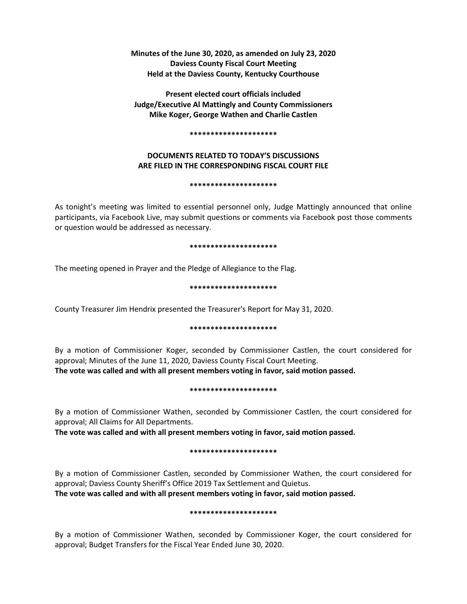**Minutes of the June 30, 2020, as amended on July 23, 2020 Daviess County Fiscal Court Meeting Held at the Daviess County, Kentucky Courthouse**

**Present elected court officials included Judge/Executive Al Mattingly and County Commissioners Mike Koger, George Wathen and Charlie Castlen**

#### **\*\*\*\*\*\*\*\*\*\*\*\*\*\*\*\*\*\*\*\*\***

# **DOCUMENTS RELATED TO TODAY'S DISCUSSIONS ARE FILED IN THE CORRESPONDING FISCAL COURT FILE**

#### **\*\*\*\*\*\*\*\*\*\*\*\*\*\*\*\*\*\*\*\*\***

As tonight's meeting was limited to essential personnel only, Judge Mattingly announced that online participants, via Facebook Live, may submit questions or comments via Facebook post those comments or question would be addressed as necessary.

#### **\*\*\*\*\*\*\*\*\*\*\*\*\*\*\*\*\*\*\*\*\***

The meeting opened in Prayer and the Pledge of Allegiance to the Flag.

### **\*\*\*\*\*\*\*\*\*\*\*\*\*\*\*\*\*\*\*\*\***

County Treasurer Jim Hendrix presented the Treasurer's Report for May 31, 2020.

#### **\*\*\*\*\*\*\*\*\*\*\*\*\*\*\*\*\*\*\*\*\***

By a motion of Commissioner Koger, seconded by Commissioner Castlen, the court considered for approval; Minutes of the June 11, 2020, Daviess County Fiscal Court Meeting.

**The vote was called and with all present members voting in favor, said motion passed.** 

#### **\*\*\*\*\*\*\*\*\*\*\*\*\*\*\*\*\*\*\*\*\***

By a motion of Commissioner Wathen, seconded by Commissioner Castlen, the court considered for approval; All Claims for All Departments.

**The vote was called and with all present members voting in favor, said motion passed.** 

## **\*\*\*\*\*\*\*\*\*\*\*\*\*\*\*\*\*\*\*\*\***

By a motion of Commissioner Castlen, seconded by Commissioner Wathen, the court considered for approval; Daviess County Sheriff's Office 2019 Tax Settlement and Quietus.

**The vote was called and with all present members voting in favor, said motion passed.** 

## **\*\*\*\*\*\*\*\*\*\*\*\*\*\*\*\*\*\*\*\*\***

By a motion of Commissioner Wathen, seconded by Commissioner Koger, the court considered for approval; Budget Transfers for the Fiscal Year Ended June 30, 2020.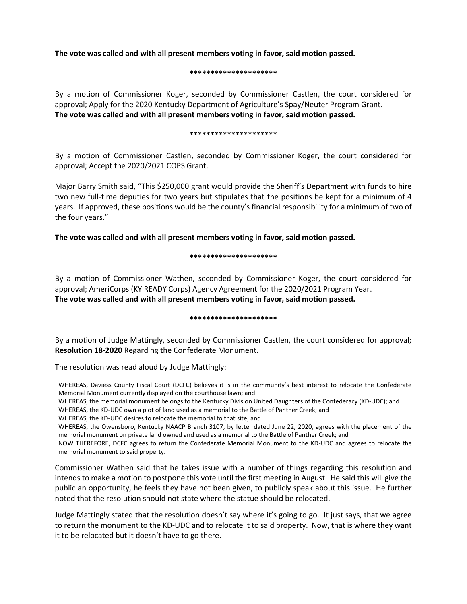**The vote was called and with all present members voting in favor, said motion passed.** 

#### **\*\*\*\*\*\*\*\*\*\*\*\*\*\*\*\*\*\*\*\*\***

By a motion of Commissioner Koger, seconded by Commissioner Castlen, the court considered for approval; Apply for the 2020 Kentucky Department of Agriculture's Spay/Neuter Program Grant. **The vote was called and with all present members voting in favor, said motion passed.** 

#### **\*\*\*\*\*\*\*\*\*\*\*\*\*\*\*\*\*\*\*\*\***

By a motion of Commissioner Castlen, seconded by Commissioner Koger, the court considered for approval; Accept the 2020/2021 COPS Grant.

Major Barry Smith said, "This \$250,000 grant would provide the Sheriff's Department with funds to hire two new full-time deputies for two years but stipulates that the positions be kept for a minimum of 4 years. If approved, these positions would be the county's financial responsibility for a minimum of two of the four years."

**The vote was called and with all present members voting in favor, said motion passed.** 

### **\*\*\*\*\*\*\*\*\*\*\*\*\*\*\*\*\*\*\*\*\***

By a motion of Commissioner Wathen, seconded by Commissioner Koger, the court considered for approval; AmeriCorps (KY READY Corps) Agency Agreement for the 2020/2021 Program Year. **The vote was called and with all present members voting in favor, said motion passed.** 

#### **\*\*\*\*\*\*\*\*\*\*\*\*\*\*\*\*\*\*\*\*\***

By a motion of Judge Mattingly, seconded by Commissioner Castlen, the court considered for approval; **Resolution 18-2020** Regarding the Confederate Monument.

The resolution was read aloud by Judge Mattingly:

WHEREAS, Daviess County Fiscal Court (DCFC) believes it is in the community's best interest to relocate the Confederate Memorial Monument currently displayed on the courthouse lawn; and

WHEREAS, the memorial monument belongs to the Kentucky Division United Daughters of the Confederacy (KD-UDC); and

WHEREAS, the KD-UDC own a plot of land used as a memorial to the Battle of Panther Creek; and

WHEREAS, the KD-UDC desires to relocate the memorial to that site; and

WHEREAS, the Owensboro, Kentucky NAACP Branch 3107, by letter dated June 22, 2020, agrees with the placement of the memorial monument on private land owned and used as a memorial to the Battle of Panther Creek; and

NOW THEREFORE, DCFC agrees to return the Confederate Memorial Monument to the KD-UDC and agrees to relocate the memorial monument to said property.

Commissioner Wathen said that he takes issue with a number of things regarding this resolution and intends to make a motion to postpone this vote until the first meeting in August. He said this will give the public an opportunity, he feels they have not been given, to publicly speak about this issue. He further noted that the resolution should not state where the statue should be relocated.

Judge Mattingly stated that the resolution doesn't say where it's going to go. It just says, that we agree to return the monument to the KD-UDC and to relocate it to said property. Now, that is where they want it to be relocated but it doesn't have to go there.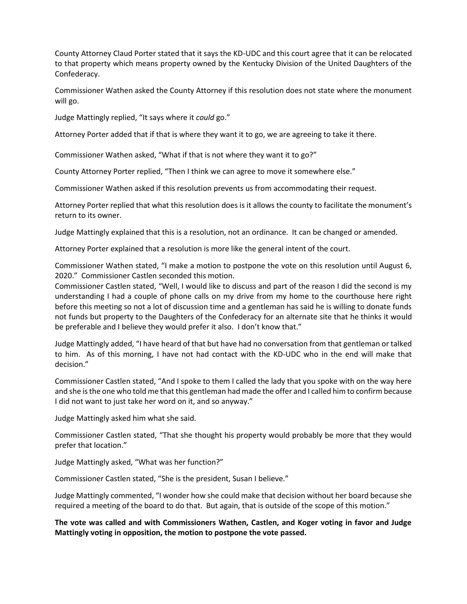County Attorney Claud Porter stated that it says the KD-UDC and this court agree that it can be relocated to that property which means property owned by the Kentucky Division of the United Daughters of the Confederacy.

Commissioner Wathen asked the County Attorney if this resolution does not state where the monument will go.

Judge Mattingly replied, "It says where it *could* go."

Attorney Porter added that if that is where they want it to go, we are agreeing to take it there.

Commissioner Wathen asked, "What if that is not where they want it to go?"

County Attorney Porter replied, "Then I think we can agree to move it somewhere else."

Commissioner Wathen asked if this resolution prevents us from accommodating their request.

Attorney Porter replied that what this resolution does is it allows the county to facilitate the monument's return to its owner.

Judge Mattingly explained that this is a resolution, not an ordinance. It can be changed or amended.

Attorney Porter explained that a resolution is more like the general intent of the court.

Commissioner Wathen stated, "I make a motion to postpone the vote on this resolution until August 6, 2020." Commissioner Castlen seconded this motion.

Commissioner Castlen stated, "Well, I would like to discuss and part of the reason I did the second is my understanding I had a couple of phone calls on my drive from my home to the courthouse here right before this meeting so not a lot of discussion time and a gentleman has said he is willing to donate funds not funds but property to the Daughters of the Confederacy for an alternate site that he thinks it would be preferable and I believe they would prefer it also. I don't know that."

Judge Mattingly added, "I have heard of that but have had no conversation from that gentleman or talked to him. As of this morning, I have not had contact with the KD-UDC who in the end will make that decision."

Commissioner Castlen stated, "And I spoke to them I called the lady that you spoke with on the way here and she is the one who told me that this gentleman had made the offer and I called him to confirm because I did not want to just take her word on it, and so anyway."

Judge Mattingly asked him what she said.

Commissioner Castlen stated, "That she thought his property would probably be more that they would prefer that location."

Judge Mattingly asked, "What was her function?"

Commissioner Castlen stated, "She is the president, Susan I believe."

Judge Mattingly commented, "I wonder how she could make that decision without her board because she required a meeting of the board to do that. But again, that is outside of the scope of this motion."

**The vote was called and with Commissioners Wathen, Castlen, and Koger voting in favor and Judge Mattingly voting in opposition, the motion to postpone the vote passed.**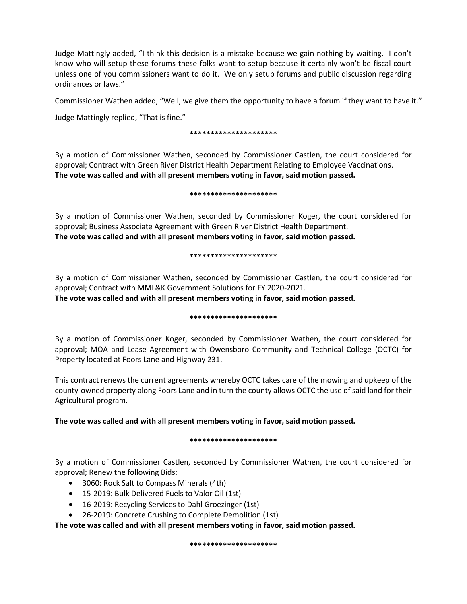Judge Mattingly added, "I think this decision is a mistake because we gain nothing by waiting. I don't know who will setup these forums these folks want to setup because it certainly won't be fiscal court unless one of you commissioners want to do it. We only setup forums and public discussion regarding ordinances or laws."

Commissioner Wathen added, "Well, we give them the opportunity to have a forum if they want to have it."

Judge Mattingly replied, "That is fine."

#### **\*\*\*\*\*\*\*\*\*\*\*\*\*\*\*\*\*\*\*\*\***

By a motion of Commissioner Wathen, seconded by Commissioner Castlen, the court considered for approval; Contract with Green River District Health Department Relating to Employee Vaccinations. **The vote was called and with all present members voting in favor, said motion passed.** 

#### **\*\*\*\*\*\*\*\*\*\*\*\*\*\*\*\*\*\*\*\*\***

By a motion of Commissioner Wathen, seconded by Commissioner Koger, the court considered for approval; Business Associate Agreement with Green River District Health Department. **The vote was called and with all present members voting in favor, said motion passed.** 

### **\*\*\*\*\*\*\*\*\*\*\*\*\*\*\*\*\*\*\*\*\***

By a motion of Commissioner Wathen, seconded by Commissioner Castlen, the court considered for approval; Contract with MML&K Government Solutions for FY 2020-2021.

**The vote was called and with all present members voting in favor, said motion passed.** 

## **\*\*\*\*\*\*\*\*\*\*\*\*\*\*\*\*\*\*\*\*\***

By a motion of Commissioner Koger, seconded by Commissioner Wathen, the court considered for approval; MOA and Lease Agreement with Owensboro Community and Technical College (OCTC) for Property located at Foors Lane and Highway 231.

This contract renews the current agreements whereby OCTC takes care of the mowing and upkeep of the county-owned property along Foors Lane and in turn the county allows OCTC the use of said land for their Agricultural program.

# **The vote was called and with all present members voting in favor, said motion passed.**

## **\*\*\*\*\*\*\*\*\*\*\*\*\*\*\*\*\*\*\*\*\***

By a motion of Commissioner Castlen, seconded by Commissioner Wathen, the court considered for approval; Renew the following Bids:

- 3060: Rock Salt to Compass Minerals (4th)
- 15-2019: Bulk Delivered Fuels to Valor Oil (1st)
- 16-2019: Recycling Services to Dahl Groezinger (1st)
- 26-2019: Concrete Crushing to Complete Demolition (1st)

**The vote was called and with all present members voting in favor, said motion passed.** 

**\*\*\*\*\*\*\*\*\*\*\*\*\*\*\*\*\*\*\*\*\***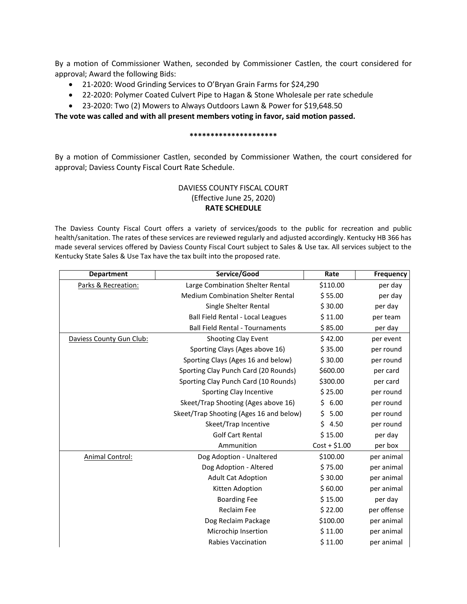By a motion of Commissioner Wathen, seconded by Commissioner Castlen, the court considered for approval; Award the following Bids:

- 21-2020: Wood Grinding Services to O'Bryan Grain Farms for \$24,290
- 22-2020: Polymer Coated Culvert Pipe to Hagan & Stone Wholesale per rate schedule
- 23-2020: Two (2) Mowers to Always Outdoors Lawn & Power for \$19,648.50

**The vote was called and with all present members voting in favor, said motion passed.** 

#### **\*\*\*\*\*\*\*\*\*\*\*\*\*\*\*\*\*\*\*\*\***

By a motion of Commissioner Castlen, seconded by Commissioner Wathen, the court considered for approval; Daviess County Fiscal Court Rate Schedule.

# DAVIESS COUNTY FISCAL COURT (Effective June 25, 2020) **RATE SCHEDULE**

The Daviess County Fiscal Court offers a variety of services/goods to the public for recreation and public health/sanitation. The rates of these services are reviewed regularly and adjusted accordingly. Kentucky HB 366 has made several services offered by Daviess County Fiscal Court subject to Sales & Use tax. All services subject to the Kentucky State Sales & Use Tax have the tax built into the proposed rate.

| <b>Department</b>        | Service/Good                             | Rate           | <b>Frequency</b> |
|--------------------------|------------------------------------------|----------------|------------------|
| Parks & Recreation:      | Large Combination Shelter Rental         | \$110.00       | per day          |
|                          | <b>Medium Combination Shelter Rental</b> | \$55.00        | per day          |
|                          | Single Shelter Rental                    | \$30.00        | per day          |
|                          | Ball Field Rental - Local Leagues        | \$11.00        | per team         |
|                          | <b>Ball Field Rental - Tournaments</b>   | \$85.00        | per day          |
| Daviess County Gun Club: | Shooting Clay Event                      | \$42.00        | per event        |
|                          | Sporting Clays (Ages above 16)           | \$35.00        | per round        |
|                          | Sporting Clays (Ages 16 and below)       | \$30.00        | per round        |
|                          | Sporting Clay Punch Card (20 Rounds)     | \$600.00       | per card         |
|                          | Sporting Clay Punch Card (10 Rounds)     | \$300.00       | per card         |
|                          | Sporting Clay Incentive                  | \$25.00        | per round        |
|                          | Skeet/Trap Shooting (Ages above 16)      | \$6.00         | per round        |
|                          | Skeet/Trap Shooting (Ages 16 and below)  | \$5.00         | per round        |
|                          | Skeet/Trap Incentive                     | \$4.50         | per round        |
|                          | <b>Golf Cart Rental</b>                  | \$15.00        | per day          |
|                          | Ammunition                               | $Cost + $1.00$ | per box          |
| Animal Control:          | Dog Adoption - Unaltered                 | \$100.00       | per animal       |
|                          | Dog Adoption - Altered                   | \$75.00        | per animal       |
|                          | <b>Adult Cat Adoption</b>                | \$30.00        | per animal       |
|                          | Kitten Adoption                          | \$60.00        | per animal       |
|                          | <b>Boarding Fee</b>                      | \$15.00        | per day          |
|                          | <b>Reclaim Fee</b>                       | \$22.00        | per offense      |
|                          | Dog Reclaim Package                      | \$100.00       | per animal       |
|                          | Microchip Insertion                      | \$11.00        | per animal       |
|                          | <b>Rabies Vaccination</b>                | \$11.00        | per animal       |